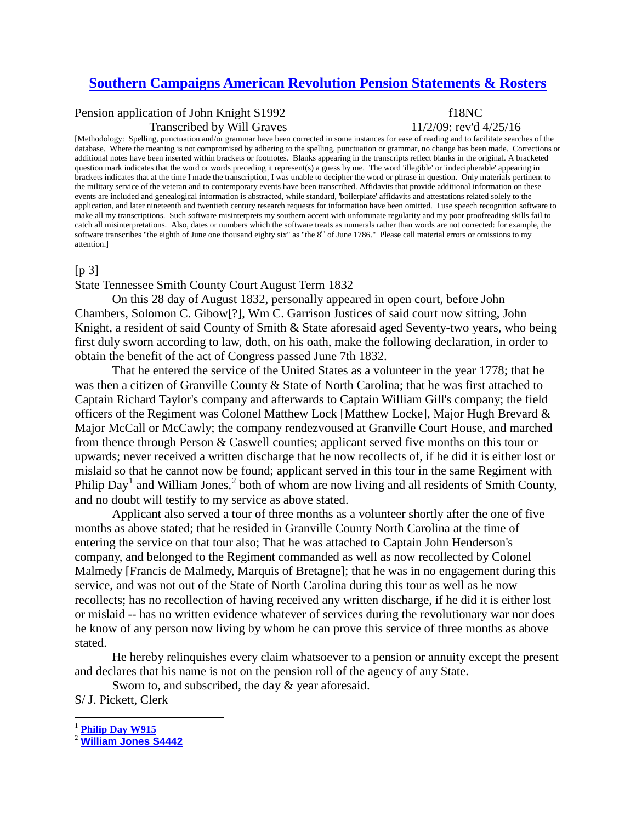# **[Southern Campaigns American Revolution Pension Statements & Rosters](http://revwarapps.org/)**

# Pension application of John Knight S1992 f18NC Transcribed by Will Graves  $11/2/09$ : rev'd  $4/25/16$

[Methodology: Spelling, punctuation and/or grammar have been corrected in some instances for ease of reading and to facilitate searches of the database. Where the meaning is not compromised by adhering to the spelling, punctuation or grammar, no change has been made. Corrections or additional notes have been inserted within brackets or footnotes. Blanks appearing in the transcripts reflect blanks in the original. A bracketed question mark indicates that the word or words preceding it represent(s) a guess by me. The word 'illegible' or 'indecipherable' appearing in brackets indicates that at the time I made the transcription, I was unable to decipher the word or phrase in question. Only materials pertinent to the military service of the veteran and to contemporary events have been transcribed. Affidavits that provide additional information on these events are included and genealogical information is abstracted, while standard, 'boilerplate' affidavits and attestations related solely to the application, and later nineteenth and twentieth century research requests for information have been omitted. I use speech recognition software to make all my transcriptions. Such software misinterprets my southern accent with unfortunate regularity and my poor proofreading skills fail to catch all misinterpretations. Also, dates or numbers which the software treats as numerals rather than words are not corrected: for example, the software transcribes "the eighth of June one thousand eighty six" as "the 8<sup>th</sup> of June 1786." Please call material errors or omissions to my attention.]

#### $[p 3]$

# State Tennessee Smith County Court August Term 1832

On this 28 day of August 1832, personally appeared in open court, before John Chambers, Solomon C. Gibow[?], Wm C. Garrison Justices of said court now sitting, John Knight, a resident of said County of Smith & State aforesaid aged Seventy-two years, who being first duly sworn according to law, doth, on his oath, make the following declaration, in order to obtain the benefit of the act of Congress passed June 7th 1832.

That he entered the service of the United States as a volunteer in the year 1778; that he was then a citizen of Granville County & State of North Carolina; that he was first attached to Captain Richard Taylor's company and afterwards to Captain William Gill's company; the field officers of the Regiment was Colonel Matthew Lock [Matthew Locke], Major Hugh Brevard & Major McCall or McCawly; the company rendezvoused at Granville Court House, and marched from thence through Person & Caswell counties; applicant served five months on this tour or upwards; never received a written discharge that he now recollects of, if he did it is either lost or mislaid so that he cannot now be found; applicant served in this tour in the same Regiment with Philip Day<sup>[1](#page-0-0)</sup> and William Jones,<sup>[2](#page-0-1)</sup> both of whom are now living and all residents of Smith County, and no doubt will testify to my service as above stated.

Applicant also served a tour of three months as a volunteer shortly after the one of five months as above stated; that he resided in Granville County North Carolina at the time of entering the service on that tour also; That he was attached to Captain John Henderson's company, and belonged to the Regiment commanded as well as now recollected by Colonel Malmedy [Francis de Malmedy, Marquis of Bretagne]; that he was in no engagement during this service, and was not out of the State of North Carolina during this tour as well as he now recollects; has no recollection of having received any written discharge, if he did it is either lost or mislaid -- has no written evidence whatever of services during the revolutionary war nor does he know of any person now living by whom he can prove this service of three months as above stated.

He hereby relinquishes every claim whatsoever to a pension or annuity except the present and declares that his name is not on the pension roll of the agency of any State.

Sworn to, and subscribed, the day & year aforesaid.

S/ J. Pickett, Clerk

<span id="page-0-0"></span> <sup>1</sup> **[Philip Day W915](http://revwarapps.org/w915.pdf)**

<span id="page-0-1"></span><sup>2</sup> **[William Jones S4442](http://revwarapps.org/s4442.pdf)**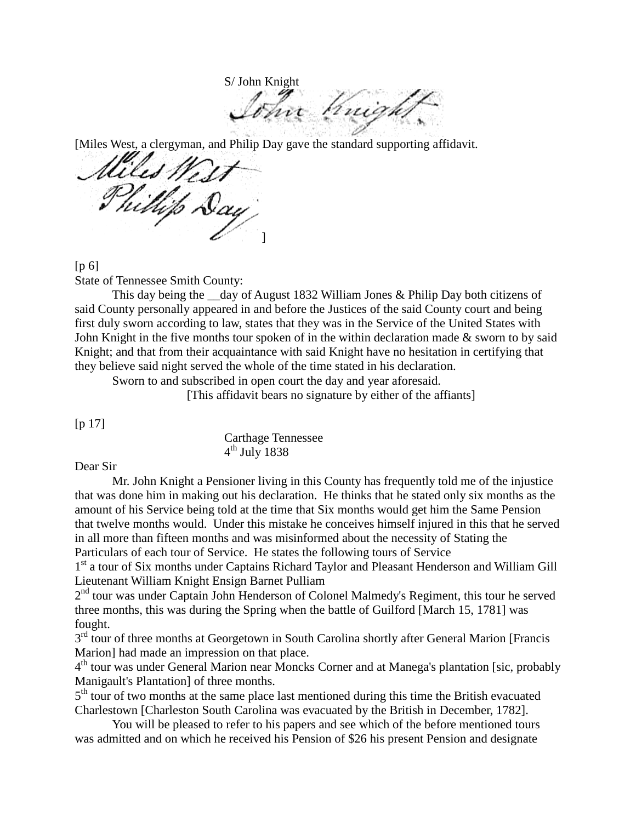S/ John Knight

oc Knigh

[Miles West, a clergyman, and Philip Day gave the standard supporting affidavit.

'est P Phillip Day ]

 $[p_6]$ 

State of Tennessee Smith County:

This day being the day of August 1832 William Jones & Philip Day both citizens of said County personally appeared in and before the Justices of the said County court and being first duly sworn according to law, states that they was in the Service of the United States with John Knight in the five months tour spoken of in the within declaration made & sworn to by said Knight; and that from their acquaintance with said Knight have no hesitation in certifying that they believe said night served the whole of the time stated in his declaration.

Sworn to and subscribed in open court the day and year aforesaid.

[This affidavit bears no signature by either of the affiants]

[p 17]

Carthage Tennessee  $4<sup>th</sup>$  July 1838

## Dear Sir

Mr. John Knight a Pensioner living in this County has frequently told me of the injustice that was done him in making out his declaration. He thinks that he stated only six months as the amount of his Service being told at the time that Six months would get him the Same Pension that twelve months would. Under this mistake he conceives himself injured in this that he served in all more than fifteen months and was misinformed about the necessity of Stating the Particulars of each tour of Service. He states the following tours of Service

1<sup>st</sup> a tour of Six months under Captains Richard Taylor and Pleasant Henderson and William Gill Lieutenant William Knight Ensign Barnet Pulliam

 $2<sup>nd</sup>$  tour was under Captain John Henderson of Colonel Malmedy's Regiment, this tour he served three months, this was during the Spring when the battle of Guilford [March 15, 1781] was fought.

 $3<sup>rd</sup>$  tour of three months at Georgetown in South Carolina shortly after General Marion [Francis Marion] had made an impression on that place.

4<sup>th</sup> tour was under General Marion near Moncks Corner and at Manega's plantation [sic, probably Manigault's Plantation] of three months.

 $5<sup>th</sup>$  tour of two months at the same place last mentioned during this time the British evacuated Charlestown [Charleston South Carolina was evacuated by the British in December, 1782].

You will be pleased to refer to his papers and see which of the before mentioned tours was admitted and on which he received his Pension of \$26 his present Pension and designate